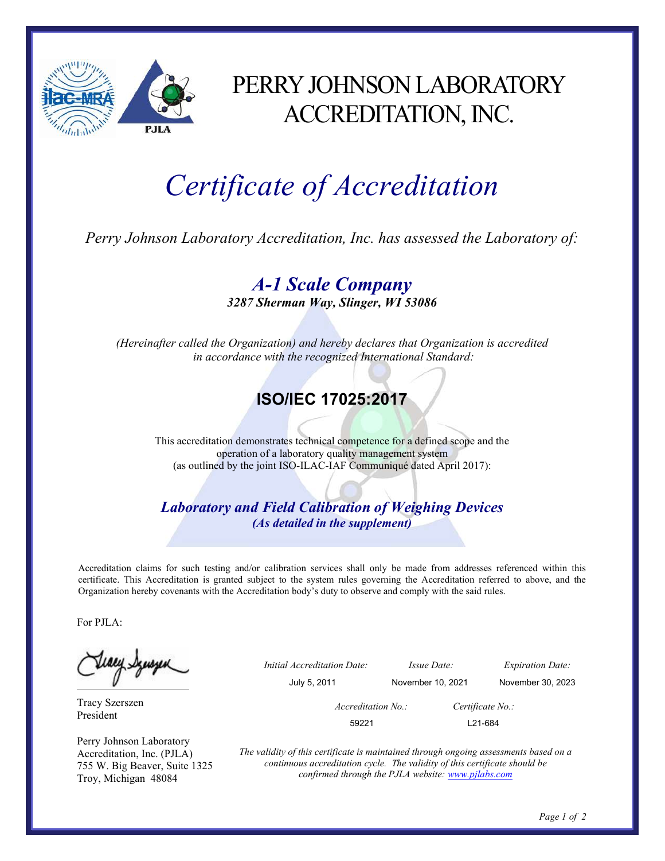

## PERRY JOHNSON LABORATORY ACCREDITATION, INC.

## Certificate of Accreditation

Perry Johnson Laboratory Accreditation, Inc. has assessed the Laboratory of:

A-1 Scale Company 3287 Sherman Way, Slinger, WI 53086

(Hereinafter called the Organization) and hereby declares that Organization is accredited in accordance with the recognized International Standard:

## ISO/IEC 17025:2017

This accreditation demonstrates technical competence for a defined scope and the operation of a laboratory quality management system (as outlined by the joint ISO-ILAC-IAF Communiqué dated April 2017):

Laboratory and Field Calibration of Weighing Devices (As detailed in the supplement)

Accreditation claims for such testing and/or calibration services shall only be made from addresses referenced within this certificate. This Accreditation is granted subject to the system rules governing the Accreditation referred to above, and the Organization hereby covenants with the Accreditation body's duty to observe and comply with the said rules.

For PJLA:

tiaey Szuszen

Tracy Szerszen President

Perry Johnson Laboratory Accreditation, Inc. (PJLA) 755 W. Big Beaver, Suite 1325 Troy, Michigan 48084

 Initial Accreditation Date: Issue Date: Expiration Date: July 5, 2011 November 10, 2021 November 30, 2023 Accreditation No.: Certificate No.: 59221 L21-684

> The validity of this certificate is maintained through ongoing assessments based on a continuous accreditation cycle. The validity of this certificate should be confirmed through the PJLA website: www.pjlabs.com